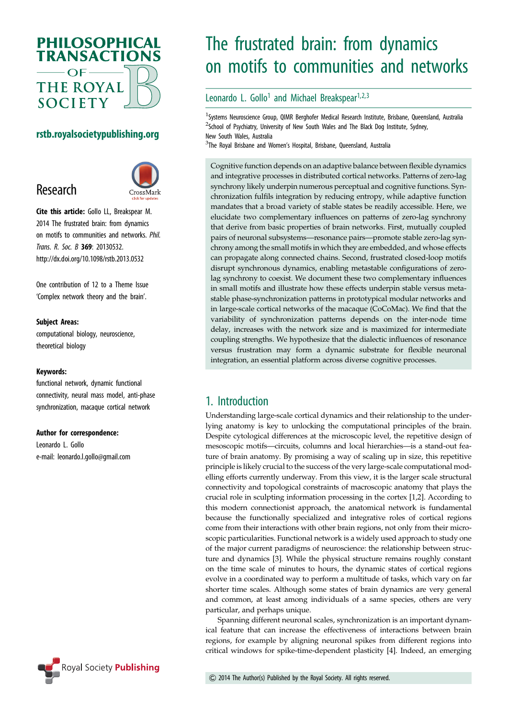

## rstb.royalsocietypublishing.org

# Research



Cite this article: Gollo LL, Breakspear M. 2014 The frustrated brain: from dynamics on motifs to communities and networks. Phil. Trans. R. Soc. B 369: 20130532. http://dx.doi.org/10.1098/rstb.2013.0532

One contribution of 12 to a Theme Issue 'Complex network theory and the brain'.

#### Subject Areas:

computational biology, neuroscience, theoretical biology

#### Keywords:

functional network, dynamic functional connectivity, neural mass model, anti-phase synchronization, macaque cortical network

#### Author for correspondence:

Leonardo L. Gollo e-mail: leonardo.l.gollo@gmail.com



# The frustrated brain: from dynamics on motifs to communities and networks

#### Leonardo L. Gollo<sup>1</sup> and Michael Breakspear<sup>1,2,3</sup>

<sup>1</sup>Systems Neuroscience Group, QIMR Berghofer Medical Research Institute, Brisbane, Queensland, Australia <sup>2</sup>School of Psychiatry, University of New South Wales and The Black Dog Institute, Sydney, New South Wales, Australia

<sup>3</sup>The Royal Brisbane and Women's Hospital, Brisbane, Queensland, Australia

Cognitive function depends on an adaptive balance between flexible dynamics and integrative processes in distributed cortical networks. Patterns of zero-lag synchrony likely underpin numerous perceptual and cognitive functions. Synchronization fulfils integration by reducing entropy, while adaptive function mandates that a broad variety of stable states be readily accessible. Here, we elucidate two complementary influences on patterns of zero-lag synchrony that derive from basic properties of brain networks. First, mutually coupled pairs of neuronal subsystems—resonance pairs—promote stable zero-lag synchrony among the small motifs in which they are embedded, and whose effects can propagate along connected chains. Second, frustrated closed-loop motifs disrupt synchronous dynamics, enabling metastable configurations of zerolag synchrony to coexist. We document these two complementary influences in small motifs and illustrate how these effects underpin stable versus metastable phase-synchronization patterns in prototypical modular networks and in large-scale cortical networks of the macaque (CoCoMac). We find that the variability of synchronization patterns depends on the inter-node time delay, increases with the network size and is maximized for intermediate coupling strengths. We hypothesize that the dialectic influences of resonance versus frustration may form a dynamic substrate for flexible neuronal integration, an essential platform across diverse cognitive processes.

# 1. Introduction

Understanding large-scale cortical dynamics and their relationship to the underlying anatomy is key to unlocking the computational principles of the brain. Despite cytological differences at the microscopic level, the repetitive design of mesoscopic motifs—circuits, columns and local hierarchies—is a stand-out feature of brain anatomy. By promising a way of scaling up in size, this repetitive principle is likely crucial to the success of the very large-scale computational modelling efforts currently underway. From this view, it is the larger scale structural connectivity and topological constraints of macroscopic anatomy that plays the crucial role in sculpting information processing in the cortex [1,2]. According to this modern connectionist approach, the anatomical network is fundamental because the functionally specialized and integrative roles of cortical regions come from their interactions with other brain regions, not only from their microscopic particularities. Functional network is a widely used approach to study one of the major current paradigms of neuroscience: the relationship between structure and dynamics [3]. While the physical structure remains roughly constant on the time scale of minutes to hours, the dynamic states of cortical regions evolve in a coordinated way to perform a multitude of tasks, which vary on far shorter time scales. Although some states of brain dynamics are very general and common, at least among individuals of a same species, others are very particular, and perhaps unique.

Spanning different neuronal scales, synchronization is an important dynamical feature that can increase the effectiveness of interactions between brain regions, for example by aligning neuronal spikes from different regions into critical windows for spike-time-dependent plasticity [4]. Indeed, an emerging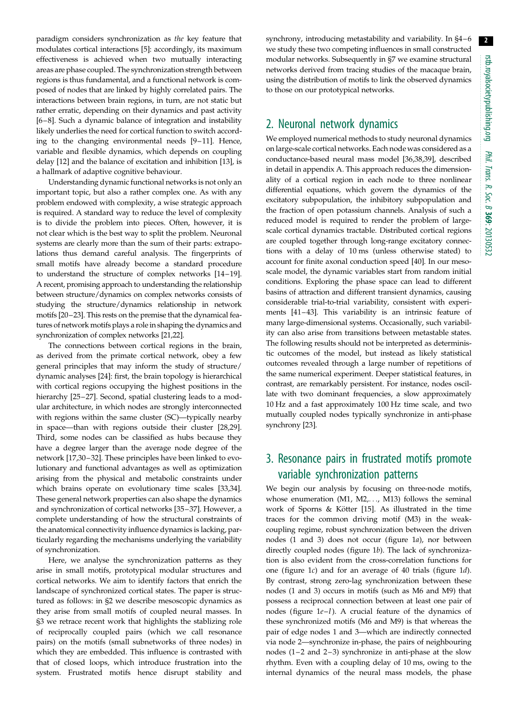paradigm considers synchronization as the key feature that modulates cortical interactions [5]: accordingly, its maximum effectiveness is achieved when two mutually interacting areas are phase coupled. The synchronization strength between regions is thus fundamental, and a functional network is composed of nodes that are linked by highly correlated pairs. The interactions between brain regions, in turn, are not static but rather erratic, depending on their dynamics and past activity [6–8]. Such a dynamic balance of integration and instability likely underlies the need for cortical function to switch according to the changing environmental needs [9–11]. Hence, variable and flexible dynamics, which depends on coupling delay [12] and the balance of excitation and inhibition [13], is a hallmark of adaptive cognitive behaviour.

Understanding dynamic functional networks is not only an important topic, but also a rather complex one. As with any problem endowed with complexity, a wise strategic approach is required. A standard way to reduce the level of complexity is to divide the problem into pieces. Often, however, it is not clear which is the best way to split the problem. Neuronal systems are clearly more than the sum of their parts: extrapolations thus demand careful analysis. The fingerprints of small motifs have already become a standard procedure to understand the structure of complex networks [14–19]. A recent, promising approach to understanding the relationship between structure/dynamics on complex networks consists of studying the structure/dynamics relationship in network motifs [20–23]. This rests on the premise that the dynamical features of network motifs plays a role in shaping the dynamics and synchronization of complex networks [21,22].

The connections between cortical regions in the brain, as derived from the primate cortical network, obey a few general principles that may inform the study of structure/ dynamic analyses [24]: first, the brain topology is hierarchical with cortical regions occupying the highest positions in the hierarchy [25–27]. Second, spatial clustering leads to a modular architecture, in which nodes are strongly interconnected with regions within the same cluster (SC)—typically nearby in space—than with regions outside their cluster [28,29]. Third, some nodes can be classified as hubs because they have a degree larger than the average node degree of the network [17,30–32]. These principles have been linked to evolutionary and functional advantages as well as optimization arising from the physical and metabolic constraints under which brains operate on evolutionary time scales [33,34]. These general network properties can also shape the dynamics and synchronization of cortical networks [35–37]. However, a complete understanding of how the structural constraints of the anatomical connectivity influence dynamics is lacking, particularly regarding the mechanisms underlying the variability of synchronization.

Here, we analyse the synchronization patterns as they arise in small motifs, prototypical modular structures and cortical networks. We aim to identify factors that enrich the landscape of synchronized cortical states. The paper is structured as follows: in §2 we describe mesoscopic dynamics as they arise from small motifs of coupled neural masses. In §3 we retrace recent work that highlights the stablizing role of reciprocally coupled pairs (which we call resonance pairs) on the motifs (small subnetworks of three nodes) in which they are embedded. This influence is contrasted with that of closed loops, which introduce frustration into the system. Frustrated motifs hence disrupt stability and synchrony, introducing metastability and variability. In §4–6 we study these two competing influences in small constructed modular networks. Subsequently in §7 we examine structural networks derived from tracing studies of the macaque brain, using the distribution of motifs to link the observed dynamics to those on our prototypical networks.

# 2. Neuronal network dynamics

We employed numerical methods to study neuronal dynamics on large-scale cortical networks. Each node was considered as a conductance-based neural mass model [36,38,39], described in detail in appendix A. This approach reduces the dimensionality of a cortical region in each node to three nonlinear differential equations, which govern the dynamics of the excitatory subpopulation, the inhibitory subpopulation and the fraction of open potassium channels. Analysis of such a reduced model is required to render the problem of largescale cortical dynamics tractable. Distributed cortical regions are coupled together through long-range excitatory connections with a delay of 10 ms (unless otherwise stated) to account for finite axonal conduction speed [40]. In our mesoscale model, the dynamic variables start from random initial conditions. Exploring the phase space can lead to different basins of attraction and different transient dynamics, causing considerable trial-to-trial variability, consistent with experiments [41–43]. This variability is an intrinsic feature of many large-dimensional systems. Occasionally, such variability can also arise from transitions between metastable states. The following results should not be interpreted as deterministic outcomes of the model, but instead as likely statistical outcomes revealed through a large number of repetitions of the same numerical experiment. Deeper statistical features, in contrast, are remarkably persistent. For instance, nodes oscillate with two dominant frequencies, a slow approximately 10 Hz and a fast approximately 100 Hz time scale, and two mutually coupled nodes typically synchronize in anti-phase synchrony [23].

# 3. Resonance pairs in frustrated motifs promote variable synchronization patterns

We begin our analysis by focusing on three-node motifs, whose enumeration (M1, M2,..., M13) follows the seminal work of Sporns & Kötter [15]. As illustrated in the time traces for the common driving motif (M3) in the weakcoupling regime, robust synchronization between the driven nodes (1 and 3) does not occur (figure 1a), nor between directly coupled nodes (figure 1b). The lack of synchronization is also evident from the cross-correlation functions for one (figure 1c) and for an average of 40 trials (figure 1d). By contrast, strong zero-lag synchronization between these nodes (1 and 3) occurs in motifs (such as M6 and M9) that possess a reciprocal connection between at least one pair of nodes (figure  $1e-l$ ). A crucial feature of the dynamics of these synchronized motifs (M6 and M9) is that whereas the pair of edge nodes 1 and 3—which are indirectly connected via node 2—synchronize in-phase, the pairs of neighbouring nodes  $(1-2$  and  $2-3)$  synchronize in anti-phase at the slow rhythm. Even with a coupling delay of 10 ms, owing to the internal dynamics of the neural mass models, the phase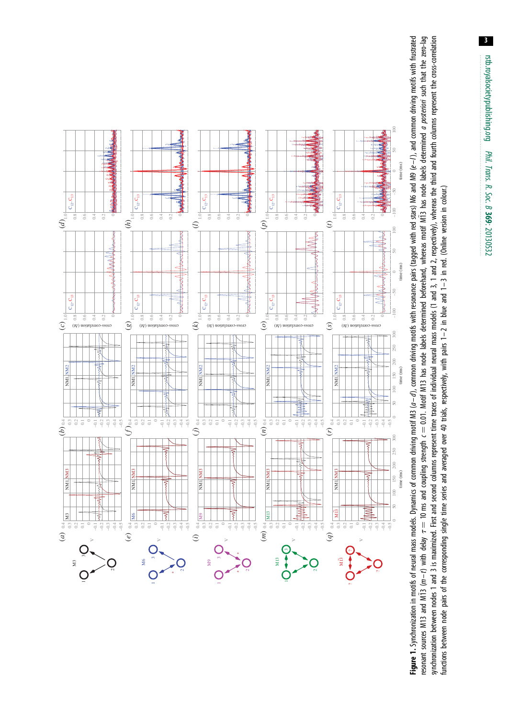**Figure 1.** Synchronization in motifs of neural mass models. Dynamics of common driving motif  $(a-d)$ , common driving motifs with resonance pairs (tagged with red stars) M6 and M9  $(e-1)$ , and common driving motifs with frus synchronization between nodes 1 and 3 is maximized. First and second columns represent time traces of individual neural mass models (1 and 3, 1 and 2, respectively), whereas the third and fourth columns represent the cross synchronization between nodes 1 and 3 is maximized. First and second columns represent time traces of individual meural mass models (1 and 3, 1 and 2, respectively), whereas the third and fourth columns represent the cross **Figure 1.** Synchronization in motifs of neural mass models. Dynamics of common driving motif M3 ( $a-d$ ), common driving motifs with resonance pairs (tagged with red stars) M6 and M9 (e-1), and common driving motifs with f  $= 10$  ms and coupling strength  $c = 0.01$ . Motif M13 has node labels determined beforehand, whereas motif M13 has node labels determined a posteriori such that the zero-lag functions between node pairs of the corresponding single time series and averaged over 40 trials, respectively, with pairs 1-2 in blue and 1-3 in red. (Online version in colour.) functions between node pairs of the corresponding single time series and averaged over 40 trials, respectively, with pairs 1 – 2 in blue and 1 – 3 in red. (Online version in colour.) ¼t  $m-t$ ) with delay resonant sources  $M13$  and  $M13$  (



rstb.royalsocietypublishing.org

Phil. Trans.

 R.Soc. B

369: 20130532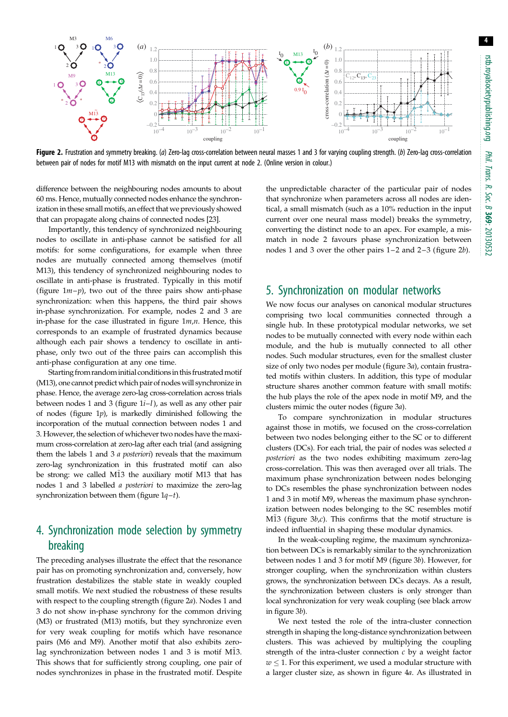

Figure 2. Frustration and symmetry breaking. (a) Zero-lag cross-correlation between neural masses 1 and 3 for varying coupling strength. (b) Zero-lag cross-correlation between pair of nodes for motif M13 with mismatch on the input current at node 2. (Online version in colour.)

difference between the neighbouring nodes amounts to about 60 ms. Hence, mutually connected nodes enhance the synchronization in these small motifs, an effect that we previously showed that can propagate along chains of connected nodes [23].

Importantly, this tendency of synchronized neighbouring nodes to oscillate in anti-phase cannot be satisfied for all motifs: for some configurations, for example when three nodes are mutually connected among themselves (motif M13), this tendency of synchronized neighbouring nodes to oscillate in anti-phase is frustrated. Typically in this motif (figure  $1m-p$ ), two out of the three pairs show anti-phase synchronization: when this happens, the third pair shows in-phase synchronization. For example, nodes 2 and 3 are in-phase for the case illustrated in figure  $1m,n$ . Hence, this corresponds to an example of frustrated dynamics because although each pair shows a tendency to oscillate in antiphase, only two out of the three pairs can accomplish this anti-phase configuration at any one time.

Starting from random initial conditions in this frustrated motif (M13), one cannot predict which pair of nodes will synchronize in phase. Hence, the average zero-lag cross-correlation across trials between nodes 1 and 3 (figure  $1i-l$ ), as well as any other pair of nodes (figure  $1p$ ), is markedly diminished following the incorporation of the mutual connection between nodes 1 and 3. However, the selection of whichever two nodes have the maximum cross-correlation at zero-lag after each trial (and assigning them the labels 1 and 3 *a posteriori*) reveals that the maximum zero-lag synchronization in this frustrated motif can also be strong: we called M13 the auxiliary motif M13 that has nodes 1 and 3 labelled a posteriori to maximize the zero-lag synchronization between them (figure  $1q-t$ ).

# 4. Synchronization mode selection by symmetry breaking

The preceding analyses illustrate the effect that the resonance pair has on promoting synchronization and, conversely, how frustration destabilizes the stable state in weakly coupled small motifs. We next studied the robustness of these results with respect to the coupling strength (figure 2a). Nodes 1 and 3 do not show in-phase synchrony for the common driving (M3) or frustrated (M13) motifs, but they synchronize even for very weak coupling for motifs which have resonance pairs (M6 and M9). Another motif that also exhibits zerolag synchronization between nodes 1 and 3 is motif  $M\tilde{1}3$ . This shows that for sufficiently strong coupling, one pair of nodes synchronizes in phase in the frustrated motif. Despite

the unpredictable character of the particular pair of nodes that synchronize when parameters across all nodes are identical, a small mismatch (such as a 10% reduction in the input current over one neural mass model) breaks the symmetry, converting the distinct node to an apex. For example, a mismatch in node 2 favours phase synchronization between nodes 1 and 3 over the other pairs  $1-2$  and  $2-3$  (figure 2b).

## 5. Synchronization on modular networks

We now focus our analyses on canonical modular structures comprising two local communities connected through a single hub. In these prototypical modular networks, we set nodes to be mutually connected with every node within each module, and the hub is mutually connected to all other nodes. Such modular structures, even for the smallest cluster size of only two nodes per module (figure 3a), contain frustrated motifs within clusters. In addition, this type of modular structure shares another common feature with small motifs: the hub plays the role of the apex node in motif M9, and the clusters mimic the outer nodes (figure 3a).

To compare synchronization in modular structures against those in motifs, we focused on the cross-correlation between two nodes belonging either to the SC or to different clusters (DCs). For each trial, the pair of nodes was selected a posteriori as the two nodes exhibiting maximum zero-lag cross-correlation. This was then averaged over all trials. The maximum phase synchronization between nodes belonging to DCs resembles the phase synchronization between nodes 1 and 3 in motif M9, whereas the maximum phase synchronization between nodes belonging to the SC resembles motif  $M^{13}$  (figure 3b,c). This confirms that the motif structure is indeed influential in shaping these modular dynamics.

In the weak-coupling regime, the maximum synchronization between DCs is remarkably similar to the synchronization between nodes 1 and 3 for motif M9 (figure 3b). However, for stronger coupling, when the synchronization within clusters grows, the synchronization between DCs decays. As a result, the synchronization between clusters is only stronger than local synchronization for very weak coupling (see black arrow in figure 3b).

We next tested the role of the intra-cluster connection strength in shaping the long-distance synchronization between clusters. This was achieved by multiplying the coupling strength of the intra-cluster connection  $c$  by a weight factor  $w \leq 1$ . For this experiment, we used a modular structure with a larger cluster size, as shown in figure 4a. As illustrated in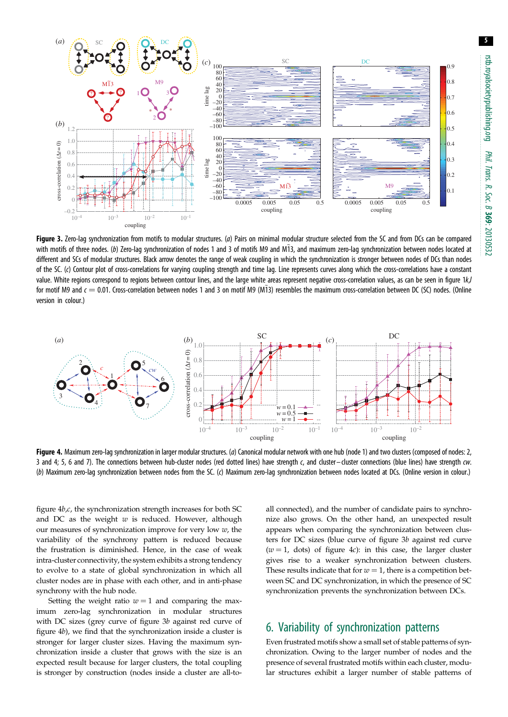

Figure 3. Zero-lag synchronization from motifs to modular structures. (a) Pairs on minimal modular structure selected from the SC and from DCs can be compared with motifs of three nodes. (b) Zero-lag synchronization of nodes 1 and 3 of motifs M9 and M13, and maximum zero-lag synchronization between nodes located at different and SCs of modular structures. Black arrow denotes the range of weak coupling in which the synchronization is stronger between nodes of DCs than nodes of the SC. (c) Contour plot of cross-correlations for varying coupling strength and time lag. Line represents curves along which the cross-correlations have a constant value. White regions correspond to regions between contour lines, and the large white areas represent negative cross-correlation values, as can be seen in figure 1k, for motif M9 and  $c = 0.01$ . Cross-correlation between nodes 1 and 3 on motif M9 (M13) resembles the maximum cross-correlation between DC (SC) nodes. (Online version in colour.)



Figure 4. Maximum zero-lag synchronization in larger modular structures. (a) Canonical modular network with one hub (node 1) and two clusters (composed of nodes: 2, 3 and 4; 5, 6 and 7). The connections between hub-cluster nodes (red dotted lines) have strength c, and cluster–cluster connections (blue lines) have strength cw. (b) Maximum zero-lag synchronization between nodes from the SC. (c) Maximum zero-lag synchronization between nodes located at DCs. (Online version in colour.)

figure 4b,c, the synchronization strength increases for both SC and DC as the weight  $w$  is reduced. However, although our measures of synchronization improve for very low  $w$ , the variability of the synchrony pattern is reduced because the frustration is diminished. Hence, in the case of weak intra-cluster connectivity, the system exhibits a strong tendency to evolve to a state of global synchronization in which all cluster nodes are in phase with each other, and in anti-phase synchrony with the hub node.

Setting the weight ratio  $w = 1$  and comparing the maximum zero-lag synchronization in modular structures with DC sizes (grey curve of figure 3b against red curve of figure 4b), we find that the synchronization inside a cluster is stronger for larger cluster sizes. Having the maximum synchronization inside a cluster that grows with the size is an expected result because for larger clusters, the total coupling is stronger by construction (nodes inside a cluster are all-toall connected), and the number of candidate pairs to synchronize also grows. On the other hand, an unexpected result appears when comparing the synchronization between clusters for DC sizes (blue curve of figure 3b against red curve  $(w = 1, \text{ dots})$  of figure 4c): in this case, the larger cluster gives rise to a weaker synchronization between clusters. These results indicate that for  $w = 1$ , there is a competition between SC and DC synchronization, in which the presence of SC synchronization prevents the synchronization between DCs.

## 6. Variability of synchronization patterns

Even frustrated motifs show a small set of stable patterns of synchronization. Owing to the larger number of nodes and the presence of several frustrated motifs within each cluster, modular structures exhibit a larger number of stable patterns of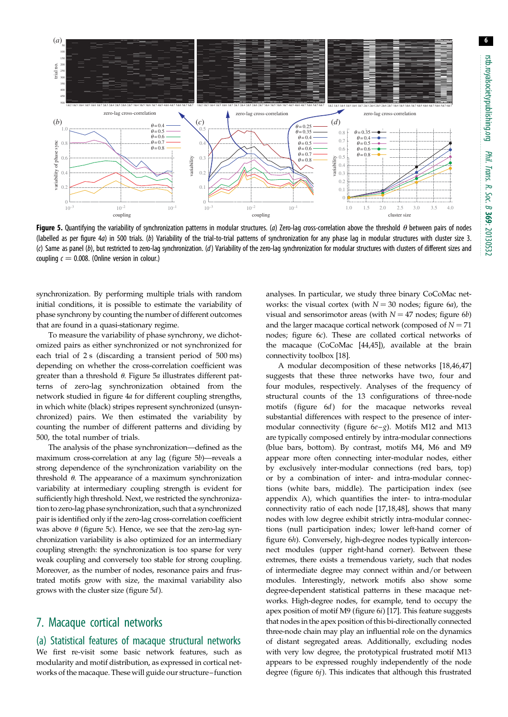

Figure 5. Quantifying the variability of synchronization patterns in modular structures. (a) Zero-lag cross-correlation above the threshold  $\theta$  between pairs of nodes (labelled as per figure 4a) in 500 trials. (b) Variability of the trial-to-trial patterns of synchronization for any phase lag in modular structures with cluster size 3. (c) Same as panel (b), but restricted to zero-lag synchronization. (d) Variability of the zero-lag synchronization for modular structures with clusters of different sizes and coupling  $c = 0.008$ . (Online version in colour.)

synchronization. By performing multiple trials with random initial conditions, it is possible to estimate the variability of phase synchrony by counting the number of different outcomes that are found in a quasi-stationary regime.

To measure the variability of phase synchrony, we dichotomized pairs as either synchronized or not synchronized for each trial of 2 s (discarding a transient period of 500 ms) depending on whether the cross-correlation coefficient was greater than a threshold  $\theta$ . Figure  $5a$  illustrates different patterns of zero-lag synchronization obtained from the network studied in figure 4a for different coupling strengths, in which white (black) stripes represent synchronized (unsynchronized) pairs. We then estimated the variability by counting the number of different patterns and dividing by 500, the total number of trials.

The analysis of the phase synchronization—defined as the maximum cross-correlation at any lag (figure 5b)—reveals a strong dependence of the synchronization variability on the threshold  $\theta$ . The appearance of a maximum synchronization variability at intermediary coupling strength is evident for sufficiently high threshold. Next, we restricted the synchronization to zero-lag phase synchronization, such that a synchronized pair is identified only if the zero-lag cross-correlation coefficient was above  $\theta$  (figure 5c). Hence, we see that the zero-lag synchronization variability is also optimized for an intermediary coupling strength: the synchronization is too sparse for very weak coupling and conversely too stable for strong coupling. Moreover, as the number of nodes, resonance pairs and frustrated motifs grow with size, the maximal variability also grows with the cluster size (figure 5d).

# 7. Macaque cortical networks

## (a) Statistical features of macaque structural networks

We first re-visit some basic network features, such as modularity and motif distribution, as expressed in cortical networks of the macaque. These will guide our structure– function analyses. In particular, we study three binary CoCoMac networks: the visual cortex (with  $N = 30$  nodes; figure 6a), the visual and sensorimotor areas (with  $N = 47$  nodes; figure 6b) and the larger macaque cortical network (composed of  $N = 71$ ) nodes; figure 6c). These are collated cortical networks of the macaque (CoCoMac [44,45]), available at the brain connectivity toolbox [18].

A modular decomposition of these networks [18,46,47] suggests that these three networks have two, four and four modules, respectively. Analyses of the frequency of structural counts of the 13 configurations of three-node motifs (figure 6d) for the macaque networks reveal substantial differences with respect to the presence of intermodular connectivity (figure  $6e-g$ ). Motifs M12 and M13 are typically composed entirely by intra-modular connections (blue bars, bottom). By contrast, motifs M4, M6 and M9 appear more often connecting inter-modular nodes, either by exclusively inter-modular connections (red bars, top) or by a combination of inter- and intra-modular connections (white bars, middle). The participation index (see appendix A), which quantifies the inter- to intra-modular connectivity ratio of each node [17,18,48], shows that many nodes with low degree exhibit strictly intra-modular connections (null participation index; lower left-hand corner of figure 6h). Conversely, high-degree nodes typically interconnect modules (upper right-hand corner). Between these extremes, there exists a tremendous variety, such that nodes of intermediate degree may connect within and/or between modules. Interestingly, network motifs also show some degree-dependent statistical patterns in these macaque networks. High-degree nodes, for example, tend to occupy the apex position of motif M9 (figure 6i) [17]. This feature suggests that nodes in the apex position of this bi-directionally connected three-node chain may play an influential role on the dynamics of distant segregated areas. Additionally, excluding nodes with very low degree, the prototypical frustrated motif M13 appears to be expressed roughly independently of the node degree (figure 6j). This indicates that although this frustrated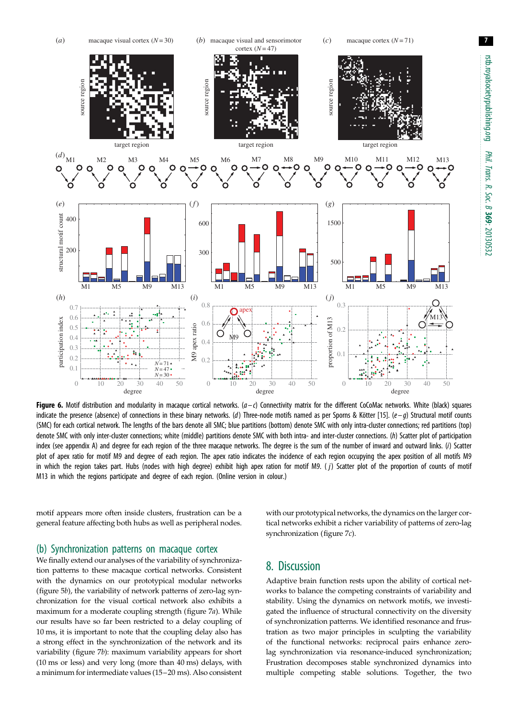

Figure 6. Motif distribution and modularity in macaque cortical networks.  $(a-c)$  Connectivity matrix for the different CoCoMac networks. White (black) squares indicate the presence (absence) of connections in these binary networks. (d) Three-node motifs named as per Sporns & Kötter [15]. (e–q) Structural motif counts (SMC) for each cortical network. The lengths of the bars denote all SMC; blue partitions (bottom) denote SMC with only intra-cluster connections; red partitions (top) denote SMC with only inter-cluster connections; white (middle) partitions denote SMC with both intra- and inter-cluster connections. (h) Scatter plot of participation index (see appendix A) and degree for each region of the three macaque networks. The degree is the sum of the number of inward and outward links. (i) Scatter plot of apex ratio for motif M9 and degree of each region. The apex ratio indicates the incidence of each region occupying the apex position of all motifs M9 in which the region takes part. Hubs (nodes with high degree) exhibit high apex ration for motif M9. (*j*) Scatter plot of the proportion of counts of motif M13 in which the regions participate and degree of each region. (Online version in colour.)

motif appears more often inside clusters, frustration can be a general feature affecting both hubs as well as peripheral nodes.

with our prototypical networks, the dynamics on the larger cortical networks exhibit a richer variability of patterns of zero-lag synchronization (figure 7c).

#### (b) Synchronization patterns on macaque cortex

We finally extend our analyses of the variability of synchronization patterns to these macaque cortical networks. Consistent with the dynamics on our prototypical modular networks (figure 5b), the variability of network patterns of zero-lag synchronization for the visual cortical network also exhibits a maximum for a moderate coupling strength (figure 7a). While our results have so far been restricted to a delay coupling of 10 ms, it is important to note that the coupling delay also has a strong effect in the synchronization of the network and its variability (figure 7b): maximum variability appears for short (10 ms or less) and very long (more than 40 ms) delays, with a minimum for intermediate values (15–20 ms). Also consistent

### 8. Discussion

Adaptive brain function rests upon the ability of cortical networks to balance the competing constraints of variability and stability. Using the dynamics on network motifs, we investigated the influence of structural connectivity on the diversity of synchronization patterns. We identified resonance and frustration as two major principles in sculpting the variability of the functional networks: reciprocal pairs enhance zerolag synchronization via resonance-induced synchronization; Frustration decomposes stable synchronized dynamics into multiple competing stable solutions. Together, the two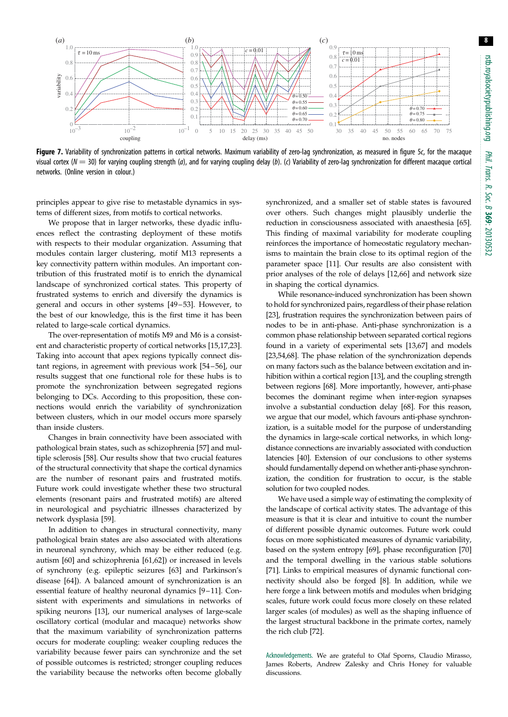

Figure 7. Variability of synchronization patterns in cortical networks. Maximum variability of zero-lag synchronization, as measured in figure 5c, for the macaque visual cortex ( $N = 30$ ) for varying coupling strength (a), and for varying coupling delay (b). (c) Variability of zero-lag synchronization for different macaque cortical networks. (Online version in colour.)

principles appear to give rise to metastable dynamics in systems of different sizes, from motifs to cortical networks.

We propose that in larger networks, these dyadic influences reflect the contrasting deployment of these motifs with respects to their modular organization. Assuming that modules contain larger clustering, motif M13 represents a key connectivity pattern within modules. An important contribution of this frustrated motif is to enrich the dynamical landscape of synchronized cortical states. This property of frustrated systems to enrich and diversify the dynamics is general and occurs in other systems [49– 53]. However, to the best of our knowledge, this is the first time it has been related to large-scale cortical dynamics.

The over-representation of motifs M9 and M6 is a consistent and characteristic property of cortical networks [15,17,23]. Taking into account that apex regions typically connect distant regions, in agreement with previous work [54–56], our results suggest that one functional role for these hubs is to promote the synchronization between segregated regions belonging to DCs. According to this proposition, these connections would enrich the variability of synchronization between clusters, which in our model occurs more sparsely than inside clusters.

Changes in brain connectivity have been associated with pathological brain states, such as schizophrenia [57] and multiple sclerosis [58]. Our results show that two crucial features of the structural connectivity that shape the cortical dynamics are the number of resonant pairs and frustrated motifs. Future work could investigate whether these two structural elements (resonant pairs and frustrated motifs) are altered in neurological and psychiatric illnesses characterized by network dysplasia [59].

In addition to changes in structural connectivity, many pathological brain states are also associated with alterations in neuronal synchrony, which may be either reduced (e.g. autism [60] and schizophrenia [61,62]) or increased in levels of synchrony (e.g. epileptic seizures [63] and Parkinson's disease [64]). A balanced amount of synchronization is an essential feature of healthy neuronal dynamics [9–11]. Consistent with experiments and simulations in networks of spiking neurons [13], our numerical analyses of large-scale oscillatory cortical (modular and macaque) networks show that the maximum variability of synchronization patterns occurs for moderate coupling: weaker coupling reduces the variability because fewer pairs can synchronize and the set of possible outcomes is restricted; stronger coupling reduces the variability because the networks often become globally

synchronized, and a smaller set of stable states is favoured over others. Such changes might plausibly underlie the reduction in consciousness associated with anaesthesia [65]. This finding of maximal variability for moderate coupling reinforces the importance of homeostatic regulatory mechanisms to maintain the brain close to its optimal region of the parameter space [11]. Our results are also consistent with prior analyses of the role of delays [12,66] and network size in shaping the cortical dynamics.

While resonance-induced synchronization has been shown to hold for synchronized pairs, regardless of their phase relation [23], frustration requires the synchronization between pairs of nodes to be in anti-phase. Anti-phase synchronization is a common phase relationship between separated cortical regions found in a variety of experimental sets [13,67] and models [23,54,68]. The phase relation of the synchronization depends on many factors such as the balance between excitation and inhibition within a cortical region [13], and the coupling strength between regions [68]. More importantly, however, anti-phase becomes the dominant regime when inter-region synapses involve a substantial conduction delay [68]. For this reason, we argue that our model, which favours anti-phase synchronization, is a suitable model for the purpose of understanding the dynamics in large-scale cortical networks, in which longdistance connections are invariably associated with conduction latencies [40]. Extension of our conclusions to other systems should fundamentally depend on whether anti-phase synchronization, the condition for frustration to occur, is the stable solution for two coupled nodes.

We have used a simple way of estimating the complexity of the landscape of cortical activity states. The advantage of this measure is that it is clear and intuitive to count the number of different possible dynamic outcomes. Future work could focus on more sophisticated measures of dynamic variability, based on the system entropy [69], phase reconfiguration [70] and the temporal dwelling in the various stable solutions [71]. Links to empirical measures of dynamic functional connectivity should also be forged [8]. In addition, while we here forge a link between motifs and modules when bridging scales, future work could focus more closely on these related larger scales (of modules) as well as the shaping influence of the largest structural backbone in the primate cortex, namely the rich club [72].

Acknowledgements. We are grateful to Olaf Sporns, Claudio Mirasso, James Roberts, Andrew Zalesky and Chris Honey for valuable discussions.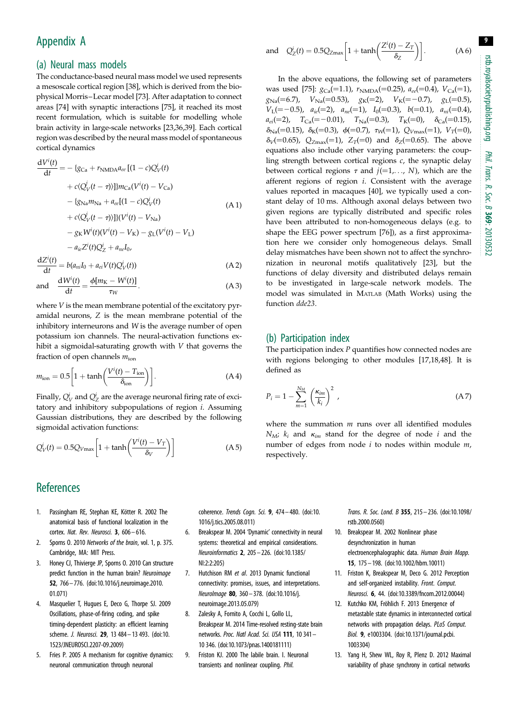# Appendix A

### (a) Neural mass models

The conductance-based neural mass model we used represents a mesoscale cortical region [38], which is derived from the biophysical Morris–Lecar model [73]. After adaptation to connect areas [74] with synaptic interactions [75], it reached its most recent formulation, which is suitable for modelling whole brain activity in large-scale networks [23,36,39]. Each cortical region was described by the neural mass model of spontaneous cortical dynamics

$$
\frac{dV^{i}(t)}{dt} = -\{g_{Ca} + r_{\text{NMDA}}a_{ee}[(1-c)Q_{V}^{i}(t) + c\langle Q_{V}^{j}(t-\tau)\rangle]\}m_{Ca}(V^{i}(t) - V_{Ca}) - \{g_{\text{Na}}m_{\text{Na}} + a_{ee}[(1-c)Q_{V}^{i}(t) + c\langle Q_{V}^{j}(t-\tau)\rangle]\}\{V^{i}(t) - V_{\text{Na}}) - g_{K}W^{i}(t)(V^{i}(t) - V_{K}) - g_{L}(V^{i}(t) - V_{L}) - a_{ie}Z^{i}(t)Q_{Z}^{j} + a_{ne}I_{0},\n\frac{dZ^{i}(t)}{dt} = b(a_{ni}I_{0} + a_{ei}V(t)Q_{V}^{i}(t))
$$
\n(A2)

and 
$$
\frac{dW^{i}(t)}{dt} = \frac{\phi[m_{K} - W^{i}(t)]}{\tau_{W}}.
$$
 (A3)

where  $V$  is the mean membrane potential of the excitatory pyramidal neurons, Z is the mean membrane potential of the inhibitory interneurons and W is the average number of open potassium ion channels. The neural-activation functions exhibit a sigmoidal-saturating growth with  $V$  that governs the fraction of open channels  $m_{\text{ion}}$ 

$$
m_{\text{ion}} = 0.5 \left[ 1 + \tanh\left(\frac{V^i(t) - T_{\text{ion}}}{\delta_{\text{ion}}}\right) \right].
$$
 (A4)

Finally,  $Q_V^i$  and  $Q_Z^i$  are the average neuronal firing rate of excitatory and inhibitory subpopulations of region i. Assuming Gaussian distributions, they are described by the following sigmoidal activation functions:

$$
Q_V^i(t) = 0.5Q_{V\text{max}} \bigg[ 1 + \tanh\bigg( \frac{V^i(t) - V_T}{\delta_V} \bigg) \bigg] \tag{A.5}
$$

# **References**

- 1. Passingham RE, Stephan KE, Kötter R. 2002 The anatomical basis of functional localization in the cortex. Nat. Rev. Neurosci. 3, 606-616.
- 2. Sporns O. 2010 Networks of the brain, vol. 1, p. 375. Cambridge, MA: MIT Press.
- 3. Honey CJ, Thivierge JP, Sporns O. 2010 Can structure predict function in the human brain? Neuroimage 52, 766– 776. (doi:10.1016/j.neuroimage.2010. 01.071)
- 4. Masquelier T, Hugues E, Deco G, Thorpe SJ. 2009 Oscillations, phase-of-firing coding, and spike timing-dependent plasticity: an efficient learning scheme. J. Neurosci. 29, 13 484– 13 493. (doi:10. 1523/JNEUROSCI.2207-09.2009)
- 5. Fries P. 2005 A mechanism for cognitive dynamics: neuronal communication through neuronal

coherence. Trends Cogn. Sci. 9, 474– 480. (doi:10. 1016/j.tics.2005.08.011)

- Breakspear M. 2004 'Dynamic' connectivity in neural systems: theoretical and empirical considerations. Neuroinformatics 2, 205– 226. (doi:10.1385/ NI:2:2:205)
- 7. Hutchison RM et al. 2013 Dynamic functional connectivity: promises, issues, and interpretations. NeuroImage 80, 360 - 378. (doi:10.1016/j. neuroimage.2013.05.079)
- 8. Zalesky A, Fornito A, Cocchi L, Gollo LL, Breakspear M. 2014 Time-resolved resting-state brain networks. Proc. Natl Acad. Sci. USA 111, 10 341-10 346. (doi:10.1073/pnas.1400181111)
- 9. Friston KJ. 2000 The labile brain. I. Neuronal transients and nonlinear coupling. Phil.

Trans. R. Soc. Lond. B 355, 215– 236. (doi:10.1098/ rstb.2000.0560)

- 10. Breakspear M. 2002 Nonlinear phase desynchronization in human electroencephalographic data. Human Brain Mapp. 15, 175 – 198. (doi:10.1002/hbm.10011)
- 11. Friston K, Breakspear M, Deco G. 2012 Perception and self-organized instability. Front. Comput. Neurosci. 6, 44. (doi:10.3389/fncom.2012.00044)
- 12. Kutchko KM, Fröhlich F. 2013 Emergence of metastable state dynamics in interconnected cortical networks with propagation delays. PLoS Comput. Biol. 9, e1003304. (doi:10.1371/journal.pcbi. 1003304)
- 13. Yang H, Shew WL, Roy R, Plenz D. 2012 Maximal variability of phase synchrony in cortical networks

and 
$$
Q_Z^i(t) = 0.5Q_{Zmax}\left[1 + \tanh\left(\frac{Z^i(t) - Z_T}{\delta_Z}\right)\right]
$$
. (A 6)

In the above equations, the following set of parameters was used [75]:  $g_{Ca}$ (=1.1),  $r_{NMDA}$ (=0.25),  $a_{ee}$ (=0.4),  $V_{Ca}$ (=1),  $g_{\text{Na}}(=6.7)$ ,  $V_{\text{Na}}(=0.53)$ ,  $g_{\text{K}}(=2)$ ,  $V_{\text{K}}(=-0.7)$ ,  $g_{\text{L}}(=0.5)$ ,  $V_{\rm L}$ (=-0.5),  $a_{ie}$ (=2),  $a_{ne}$ (=1),  $I_{0}$ (=0.3),  $b$ (=0.1),  $a_{ni}$ (=0.4),  $a_{ei} (=2)$ ,  $T_{Ca} (= -0.01)$ ,  $T_{Na} (= 0.3)$ ,  $T_{K} (= 0)$ ,  $\delta_{Ca} (= 0.15)$ ,  $\delta_{\text{Na}}(=0.15)$ ,  $\delta_{\text{K}}(=0.3)$ ,  $\phi(=0.7)$ ,  $\tau_{W}(=1)$ ,  $Q_{V\text{max}}(=1)$ ,  $V_{T}(=0)$ ,  $\delta_V$ (=0.65), Q<sub>Zmax</sub>(=1), Z<sub>T</sub>(=0) and  $\delta_Z$ (=0.65). The above equations also include other varying parameters: the coupling strength between cortical regions  $c$ , the synaptic delay between cortical regions  $\tau$  and  $j(=1,..., N)$ , which are the afferent regions of region i. Consistent with the average values reported in macaques [40], we typically used a constant delay of 10 ms. Although axonal delays between two given regions are typically distributed and specific roles have been attributed to non-homogeneous delays (e.g. to shape the EEG power spectrum [76]), as a first approximation here we consider only homogeneous delays. Small delay mismatches have been shown not to affect the synchronization in neuronal motifs qualitatively [23], but the functions of delay diversity and distributed delays remain to be investigated in large-scale network models. The model was simulated in MATLAB (Math Works) using the function dde23.

### (b) Participation index

The participation index  $P$  quantifies how connected nodes are with regions belonging to other modules [17,18,48]. It is defined as

$$
P_i = 1 - \sum_{m=1}^{N_M} \left(\frac{\kappa_{im}}{k_i}\right)^2, \qquad (A7)
$$

where the summation  $m$  runs over all identified modules  $N_M$ ;  $k_i$  and  $\kappa_{im}$  stand for the degree of node i and the number of edges from node  $i$  to nodes within module  $m$ , respectively.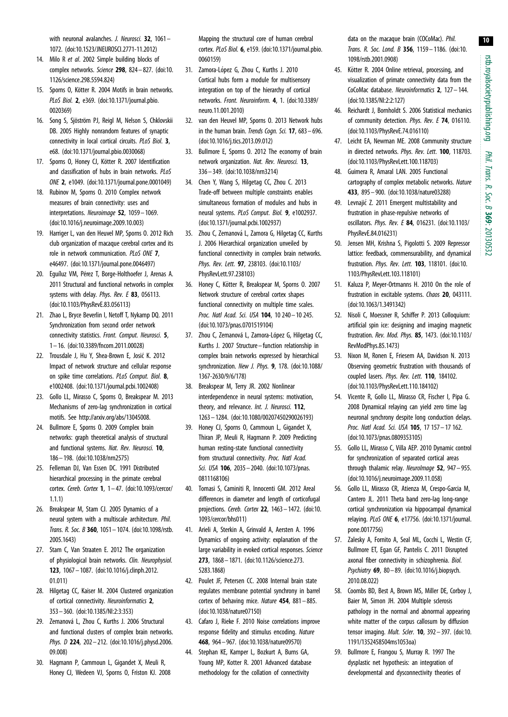rstb.royalsocietypublishing.org Phil. Trans. R. Soc. B 369: 20130532

with neuronal avalanches. J. Neurosci. 32, 1061-1072. (doi:10.1523/JNEUROSCI.2771-11.2012)

- 14. Milo R et al. 2002 Simple building blocks of complex networks. Science 298, 824-827. (doi:10. 1126/science.298.5594.824)
- 15. Sporns O, Kötter R. 2004 Motifs in brain networks. PLoS Biol. 2, e369. (doi:10.1371/journal.pbio. 0020369)
- 16. Song S, Sjöström PJ, Reigl M, Nelson S, Chklovskii DB. 2005 Highly nonrandom features of synaptic connectivity in local cortical circuits. PLoS Biol. 3, e68. (doi:10.1371/journal.pbio.0030068)
- 17. Sporns O, Honey CJ, Kötter R. 2007 Identification and classification of hubs in brain networks. PLoS ONE 2, e1049. (doi:10.1371/journal.pone.0001049)
- 18. Rubinov M, Sporns O. 2010 Complex network measures of brain connectivity: uses and interpretations. Neuroimage 52, 1059– 1069. (doi:10.1016/j.neuroimage.2009.10.003)
- 19. Harriger L, van den Heuvel MP, Sporns O. 2012 Rich club organization of macaque cerebral cortex and its role in network communication. PLoS ONE 7, e46497. (doi:10.1371/journal.pone.0046497)
- 20. Equíluz VM, Pérez T, Borge-Holthoefer J, Arenas A. 2011 Structural and functional networks in complex systems with delay. Phys. Rev. E 83, 056113. (doi:10.1103/PhysRevE.83.056113)
- 21. Zhao L, Bryce Beverlin I, Netoff T, Nykamp DQ. 2011 Synchronization from second order network connectivity statistics. Front. Comput. Neurosci. 5, 1– 16. (doi:10.3389/fncom.2011.00028)
- 22. Trousdale J, Hu Y, Shea-Brown E, Josić K. 2012 Impact of network structure and cellular response on spike time correlations. PLoS Comput. Biol. 8, e1002408. (doi:10.1371/journal.pcbi.1002408)
- 23. Gollo LL, Mirasso C, Sporns O, Breakspear M. 2013 Mechanisms of zero-lag synchronization in cortical motifs. See http://arxiv.org/abs/13045008.
- 24. Bullmore E, Sporns O. 2009 Complex brain networks: graph theoretical analysis of structural and functional systems. Nat. Rev. Neurosci. 10. 186– 198. (doi:10.1038/nrn2575)
- 25. Felleman DJ, Van Essen DC. 1991 Distributed hierarchical processing in the primate cerebral cortex. Cereb. Cortex 1, 1– 47. (doi:10.1093/cercor/ 1.1.1)
- 26. Breakspear M, Stam CJ. 2005 Dynamics of a neural system with a multiscale architecture. Phil. Trans. R. Soc. B 360, 1051– 1074. (doi:10.1098/rstb. 2005.1643)
- 27. Stam C, Van Straaten E. 2012 The organization of physiological brain networks. Clin. Neurophysiol. 123, 1067– 1087. (doi:10.1016/j.clinph.2012. 01.011)
- 28. Hilgetag CC, Kaiser M. 2004 Clustered organization of cortical connectivity. Neuroinformatics 2, 353– 360. (doi:10.1385/NI:2:3:353)
- 29. Zemanová L, Zhou C, Kurths J, 2006 Structural and functional clusters of complex brain networks. Phys. D 224, 202-212. (doi:10.1016/j.physd.2006. 09.008)
- 30. Hagmann P, Cammoun L, Gigandet X, Meuli R, Honey CJ, Wedeen VJ, Sporns O, Friston KJ. 2008

Mapping the structural core of human cerebral cortex. PLoS Biol. 6, e159. (doi:10.1371/journal.pbio. 0060159)

- 31. Zamora-López G, Zhou C, Kurths J. 2010 Cortical hubs form a module for multisensory integration on top of the hierarchy of cortical networks. Front. Neuroinform. 4, 1. (doi:10.3389/ neuro.11.001.2010)
- 32. van den Heuvel MP, Sporns O. 2013 Network hubs in the human brain. Trends Cogn. Sci.  $17$ , 683 - 696. (doi:10.1016/j.tics.2013.09.012)
- 33. Bullmore E, Sporns O. 2012 The economy of brain network organization. Nat. Rev. Neurosci. 13, 336 – 349. (doi:10.1038/nrn3214)
- 34. Chen Y, Wang S, Hilgetag CC, Zhou C. 2013 Trade-off between multiple constraints enables simultaneous formation of modules and hubs in neural systems. PLoS Comput. Biol. 9, e1002937. (doi:10.1371/journal.pcbi.1002937)
- 35. Zhou C, Zemanová L, Zamora G, Hilgetag CC, Kurths J. 2006 Hierarchical organization unveiled by functional connectivity in complex brain networks. Phys. Rev. Lett. 97, 238103. (doi:10.1103/ PhysRevLett.97.238103)
- 36. Honey C, Kötter R, Breakspear M, Sporns O. 2007 Network structure of cerebral cortex shapes functional connectivity on multiple time scales. Proc. Natl Acad. Sci. USA 104, 10 240– 10 245. (doi:10.1073/pnas.0701519104)
- 37. Zhou C, Zemanová L, Zamora-López G, Hilgetag CC, Kurths J. 2007 Structure–function relationship in complex brain networks expressed by hierarchical synchronization. New J. Phys. 9, 178. (doi:10.1088/ 1367-2630/9/6/178)
- 38. Breakspear M, Terry JR. 2002 Nonlinear interdependence in neural systems: motivation, theory, and relevance. Int. J. Neurosci. 112, 1263– 1284. (doi:10.1080/00207450290026193)
- 39. Honey CJ, Sporns O, Cammoun L, Gigandet X, Thiran JP, Meuli R, Hagmann P. 2009 Predicting human resting-state functional connectivity from structural connectivity. Proc. Natl Acad. Sci. USA 106, 2035 - 2040. (doi:10.1073/pnas. 0811168106)
- 40. Tomasi S, Caminiti R, Innocenti GM. 2012 Areal differences in diameter and length of corticofugal projections. Cereb. Cortex 22, 1463 – 1472. (doi:10. 1093/cercor/bhs011)
- 41. Arieli A, Sterkin A, Grinvald A, Aersten A. 1996 Dynamics of ongoing activity: explanation of the large variability in evoked cortical responses. Science 273, 1868 – 1871. (doi:10.1126/science.273. 5283.1868)
- 42. Poulet JF, Petersen CC. 2008 Internal brain state regulates membrane potential synchrony in barrel cortex of behaving mice. Nature 454, 881-885. (doi:10.1038/nature07150)
- 43. Cafaro J, Rieke F. 2010 Noise correlations improve response fidelity and stimulus encoding. Nature 468, 964 – 967. (doi:10.1038/nature09570)
- 44. Stephan KE, Kamper L, Bozkurt A, Burns GA, Young MP, Kotter R. 2001 Advanced database methodology for the collation of connectivity

data on the macaque brain (COCoMac). Phil. Trans. R. Soc. Lond. B 356, 1159– 1186. (doi:10. 1098/rstb.2001.0908)

- 45. Kötter R. 2004 Online retrieval, processing, and visualization of primate connectivity data from the CoCoMac database. Neuroinformatics 2, 127– 144. (doi:10.1385/NI:2:2:127)
- 46. Reichardt J, Bornholdt S. 2006 Statistical mechanics of community detection. Phys. Rev. E 74, 016110. (doi:10.1103/PhysRevE.74.016110)
- 47. Leicht EA, Newman ME. 2008 Community structure in directed networks. Phys. Rev. Lett. 100, 118703. (doi:10.1103/PhysRevLett.100.118703)
- 48. Guimera R, Amaral LAN. 2005 Functional cartography of complex metabolic networks. Nature 433, 895– 900. (doi:10.1038/nature03288)
- 49. Levnajić Z. 2011 Emergent multistability and frustration in phase-repulsive networks of oscillators. Phys. Rev. E 84, 016231. (doi:10.1103/ PhysRevE.84.016231)
- 50. Jensen MH, Krishna S, Pigolotti S. 2009 Repressor lattice: feedback, commensurability, and dynamical frustration. Phys. Rev. Lett. 103, 118101. (doi:10. 1103/PhysRevLett.103.118101)
- 51. Kaluza P, Meyer-Ortmanns H. 2010 On the role of frustration in excitable systems. Chaos 20, 043111. (doi:10.1063/1.3491342)
- 52. Nisoli C, Moessner R, Schiffer P. 2013 Colloquium: artificial spin ice: designing and imaging magnetic frustration. Rev. Mod. Phys. 85, 1473. (doi:10.1103/ RevModPhys.85.1473)
- 53. Nixon M, Ronen E, Friesem AA, Davidson N. 2013 Observing geometric frustration with thousands of coupled lasers. Phys. Rev. Lett. 110, 184102. (doi:10.1103/PhysRevLett.110.184102)
- 54. Vicente R, Gollo LL, Mirasso CR, Fischer I, Pipa G. 2008 Dynamical relaying can yield zero time lag neuronal synchrony despite long conduction delays. Proc. Natl Acad. Sci. USA 105, 17 157– 17 162. (doi:10.1073/pnas.0809353105)
- 55. Gollo LL, Mirasso C, Villa AEP. 2010 Dynamic control for synchronization of separated cortical areas through thalamic relay. Neurolmage  $52$ ,  $947 - 955$ . (doi:10.1016/j.neuroimage.2009.11.058)
- 56. Gollo LL, Mirasso CR, Atienza M, Crespo-Garcia M, Cantero JL. 2011 Theta band zero-lag long-range cortical synchronization via hippocampal dynamical relaying. PLoS ONE 6, e17756. (doi:10.1371/journal. pone.0017756)
- 57. Zalesky A, Fornito A, Seal ML, Cocchi L, Westin CF, Bullmore ET, Egan GF, Pantelis C. 2011 Disrupted axonal fiber connectivity in schizophrenia. Biol. Psychiatry 69, 80-89. (doi:10.1016/j.biopsych. 2010.08.022)
- 58. Coombs BD, Best A, Brown MS, Miller DE, Corboy J, Baier M, Simon JH. 2004 Multiple sclerosis pathology in the normal and abnormal appearing white matter of the corpus callosum by diffusion tensor imaging. Mult. Scler. 10, 392– 397. (doi:10. 1191/1352458504ms1053oa)
- 59. Bullmore E, Frangou S, Murray R. 1997 The dysplastic net hypothesis: an integration of developmental and dysconnectivity theories of